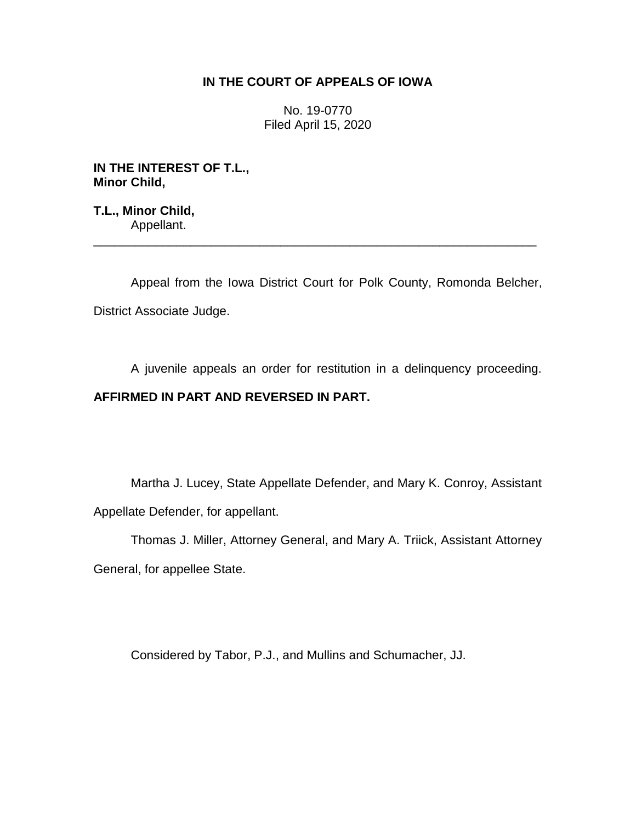## **IN THE COURT OF APPEALS OF IOWA**

No. 19-0770 Filed April 15, 2020

**IN THE INTEREST OF T.L., Minor Child,**

**T.L., Minor Child,** Appellant.

Appeal from the Iowa District Court for Polk County, Romonda Belcher, District Associate Judge.

\_\_\_\_\_\_\_\_\_\_\_\_\_\_\_\_\_\_\_\_\_\_\_\_\_\_\_\_\_\_\_\_\_\_\_\_\_\_\_\_\_\_\_\_\_\_\_\_\_\_\_\_\_\_\_\_\_\_\_\_\_\_\_\_

A juvenile appeals an order for restitution in a delinquency proceeding.

## **AFFIRMED IN PART AND REVERSED IN PART.**

Martha J. Lucey, State Appellate Defender, and Mary K. Conroy, Assistant Appellate Defender, for appellant.

Thomas J. Miller, Attorney General, and Mary A. Triick, Assistant Attorney General, for appellee State.

Considered by Tabor, P.J., and Mullins and Schumacher, JJ.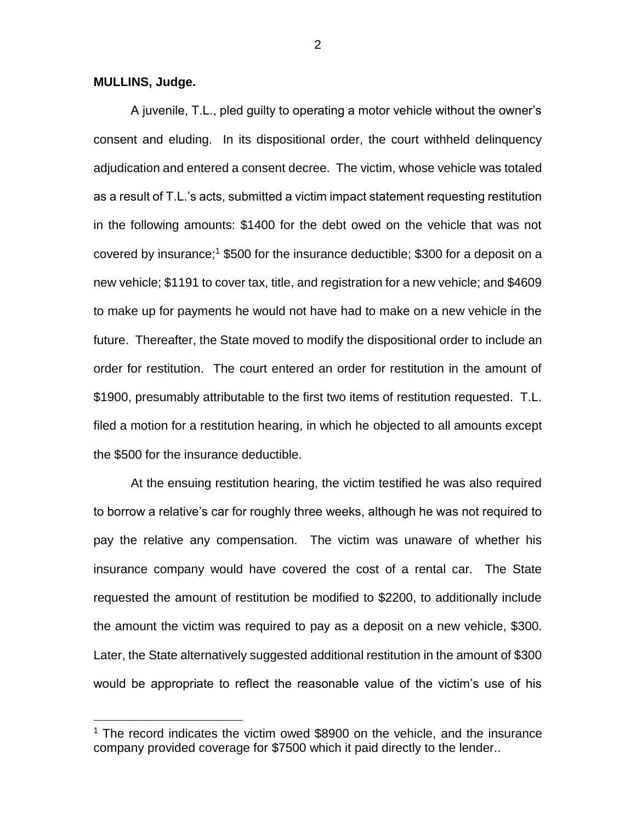**MULLINS, Judge.**

 $\overline{a}$ 

A juvenile, T.L., pled guilty to operating a motor vehicle without the owner's consent and eluding. In its dispositional order, the court withheld delinquency adjudication and entered a consent decree. The victim, whose vehicle was totaled as a result of T.L.'s acts, submitted a victim impact statement requesting restitution in the following amounts: \$1400 for the debt owed on the vehicle that was not covered by insurance;<sup>1</sup> \$500 for the insurance deductible; \$300 for a deposit on a new vehicle; \$1191 to cover tax, title, and registration for a new vehicle; and \$4609 to make up for payments he would not have had to make on a new vehicle in the future. Thereafter, the State moved to modify the dispositional order to include an order for restitution. The court entered an order for restitution in the amount of \$1900, presumably attributable to the first two items of restitution requested. T.L. filed a motion for a restitution hearing, in which he objected to all amounts except the \$500 for the insurance deductible.

At the ensuing restitution hearing, the victim testified he was also required to borrow a relative's car for roughly three weeks, although he was not required to pay the relative any compensation. The victim was unaware of whether his insurance company would have covered the cost of a rental car. The State requested the amount of restitution be modified to \$2200, to additionally include the amount the victim was required to pay as a deposit on a new vehicle, \$300. Later, the State alternatively suggested additional restitution in the amount of \$300 would be appropriate to reflect the reasonable value of the victim's use of his

 $1$  The record indicates the victim owed \$8900 on the vehicle, and the insurance company provided coverage for \$7500 which it paid directly to the lender..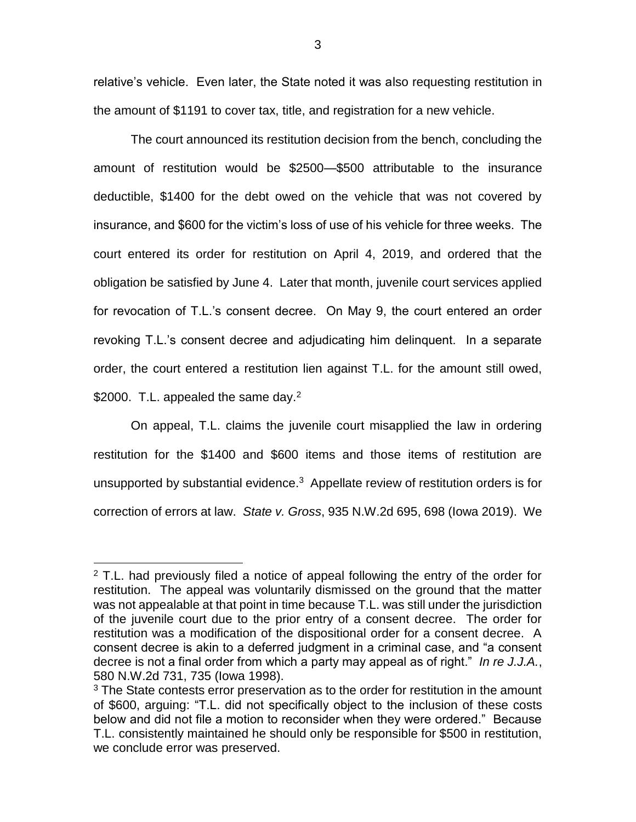relative's vehicle. Even later, the State noted it was also requesting restitution in the amount of \$1191 to cover tax, title, and registration for a new vehicle.

The court announced its restitution decision from the bench, concluding the amount of restitution would be \$2500—\$500 attributable to the insurance deductible, \$1400 for the debt owed on the vehicle that was not covered by insurance, and \$600 for the victim's loss of use of his vehicle for three weeks. The court entered its order for restitution on April 4, 2019, and ordered that the obligation be satisfied by June 4. Later that month, juvenile court services applied for revocation of T.L.'s consent decree. On May 9, the court entered an order revoking T.L.'s consent decree and adjudicating him delinquent. In a separate order, the court entered a restitution lien against T.L. for the amount still owed, \$2000. T.L. appealed the same day. $2^2$ 

On appeal, T.L. claims the juvenile court misapplied the law in ordering restitution for the \$1400 and \$600 items and those items of restitution are unsupported by substantial evidence. $3$  Appellate review of restitution orders is for correction of errors at law. *State v. Gross*, 935 N.W.2d 695, 698 (Iowa 2019). We

 $\overline{a}$ 

 $2$  T.L. had previously filed a notice of appeal following the entry of the order for restitution. The appeal was voluntarily dismissed on the ground that the matter was not appealable at that point in time because T.L. was still under the jurisdiction of the juvenile court due to the prior entry of a consent decree. The order for restitution was a modification of the dispositional order for a consent decree. A consent decree is akin to a deferred judgment in a criminal case, and "a consent decree is not a final order from which a party may appeal as of right." *In re J.J.A.*, 580 N.W.2d 731, 735 (Iowa 1998).

<sup>&</sup>lt;sup>3</sup> The State contests error preservation as to the order for restitution in the amount of \$600, arguing: "T.L. did not specifically object to the inclusion of these costs below and did not file a motion to reconsider when they were ordered." Because T.L. consistently maintained he should only be responsible for \$500 in restitution, we conclude error was preserved.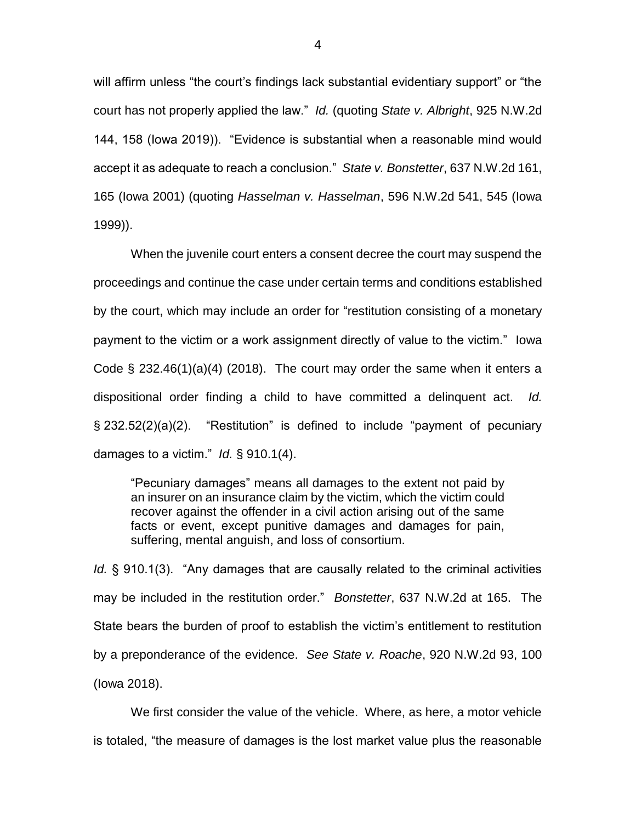will affirm unless "the court's findings lack substantial evidentiary support" or "the court has not properly applied the law." *Id.* (quoting *State v. Albright*, 925 N.W.2d 144, 158 (Iowa 2019)). "Evidence is substantial when a reasonable mind would accept it as adequate to reach a conclusion." *State v. Bonstetter*, 637 N.W.2d 161, 165 (Iowa 2001) (quoting *Hasselman v. Hasselman*, 596 N.W.2d 541, 545 (Iowa 1999)).

When the juvenile court enters a consent decree the court may suspend the proceedings and continue the case under certain terms and conditions established by the court, which may include an order for "restitution consisting of a monetary payment to the victim or a work assignment directly of value to the victim." Iowa Code  $\S$  232.46(1)(a)(4) (2018). The court may order the same when it enters a dispositional order finding a child to have committed a delinquent act. *Id.* § 232.52(2)(a)(2). "Restitution" is defined to include "payment of pecuniary damages to a victim." *Id.* § 910.1(4).

"Pecuniary damages" means all damages to the extent not paid by an insurer on an insurance claim by the victim, which the victim could recover against the offender in a civil action arising out of the same facts or event, except punitive damages and damages for pain, suffering, mental anguish, and loss of consortium.

*Id.* § 910.1(3). "Any damages that are causally related to the criminal activities may be included in the restitution order." *Bonstetter*, 637 N.W.2d at 165. The State bears the burden of proof to establish the victim's entitlement to restitution by a preponderance of the evidence. *See State v. Roache*, 920 N.W.2d 93, 100 (Iowa 2018).

We first consider the value of the vehicle. Where, as here, a motor vehicle is totaled, "the measure of damages is the lost market value plus the reasonable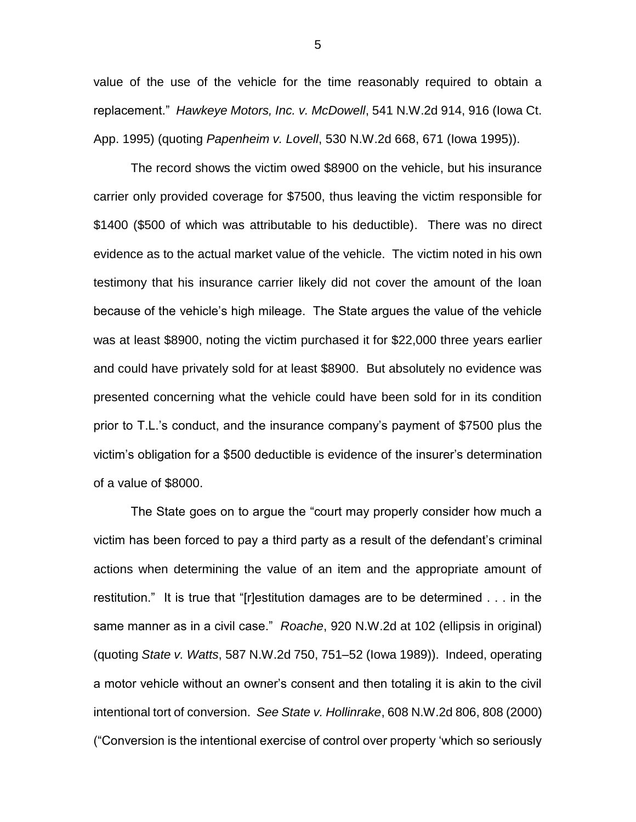value of the use of the vehicle for the time reasonably required to obtain a replacement." *Hawkeye Motors, Inc. v. McDowell*, 541 N.W.2d 914, 916 (Iowa Ct. App. 1995) (quoting *Papenheim v. Lovell*, 530 N.W.2d 668, 671 (Iowa 1995)).

The record shows the victim owed \$8900 on the vehicle, but his insurance carrier only provided coverage for \$7500, thus leaving the victim responsible for \$1400 (\$500 of which was attributable to his deductible). There was no direct evidence as to the actual market value of the vehicle. The victim noted in his own testimony that his insurance carrier likely did not cover the amount of the loan because of the vehicle's high mileage. The State argues the value of the vehicle was at least \$8900, noting the victim purchased it for \$22,000 three years earlier and could have privately sold for at least \$8900. But absolutely no evidence was presented concerning what the vehicle could have been sold for in its condition prior to T.L.'s conduct, and the insurance company's payment of \$7500 plus the victim's obligation for a \$500 deductible is evidence of the insurer's determination of a value of \$8000.

The State goes on to argue the "court may properly consider how much a victim has been forced to pay a third party as a result of the defendant's criminal actions when determining the value of an item and the appropriate amount of restitution." It is true that "[r]estitution damages are to be determined . . . in the same manner as in a civil case." *Roache*, 920 N.W.2d at 102 (ellipsis in original) (quoting *State v. Watts*, 587 N.W.2d 750, 751–52 (Iowa 1989)). Indeed, operating a motor vehicle without an owner's consent and then totaling it is akin to the civil intentional tort of conversion. *See State v. Hollinrake*, 608 N.W.2d 806, 808 (2000) ("Conversion is the intentional exercise of control over property 'which so seriously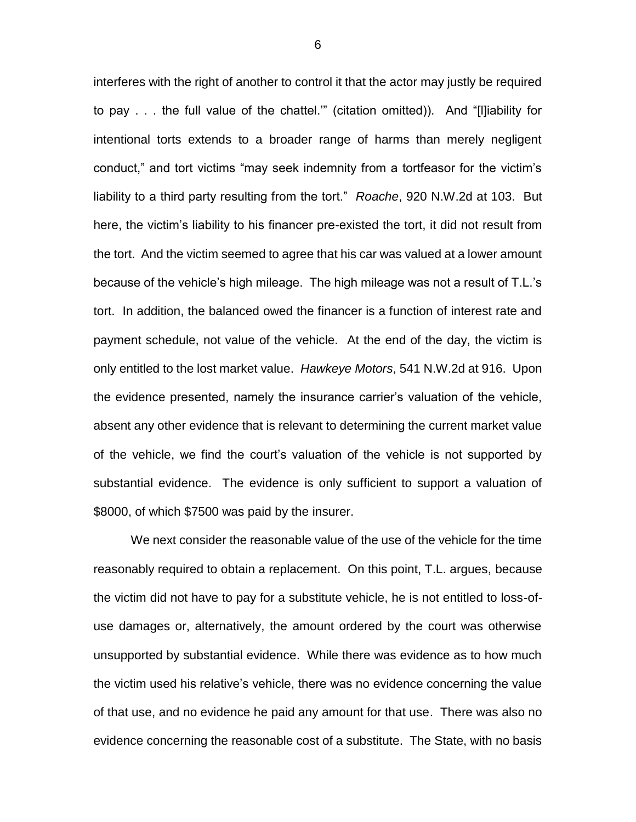interferes with the right of another to control it that the actor may justly be required to pay . . . the full value of the chattel.'" (citation omitted)). And "[l]iability for intentional torts extends to a broader range of harms than merely negligent conduct," and tort victims "may seek indemnity from a tortfeasor for the victim's liability to a third party resulting from the tort." *Roache*, 920 N.W.2d at 103. But here, the victim's liability to his financer pre-existed the tort, it did not result from the tort. And the victim seemed to agree that his car was valued at a lower amount because of the vehicle's high mileage. The high mileage was not a result of T.L.'s tort. In addition, the balanced owed the financer is a function of interest rate and payment schedule, not value of the vehicle. At the end of the day, the victim is only entitled to the lost market value. *Hawkeye Motors*, 541 N.W.2d at 916. Upon the evidence presented, namely the insurance carrier's valuation of the vehicle, absent any other evidence that is relevant to determining the current market value of the vehicle, we find the court's valuation of the vehicle is not supported by substantial evidence. The evidence is only sufficient to support a valuation of \$8000, of which \$7500 was paid by the insurer.

We next consider the reasonable value of the use of the vehicle for the time reasonably required to obtain a replacement. On this point, T.L. argues, because the victim did not have to pay for a substitute vehicle, he is not entitled to loss-ofuse damages or, alternatively, the amount ordered by the court was otherwise unsupported by substantial evidence. While there was evidence as to how much the victim used his relative's vehicle, there was no evidence concerning the value of that use, and no evidence he paid any amount for that use. There was also no evidence concerning the reasonable cost of a substitute. The State, with no basis